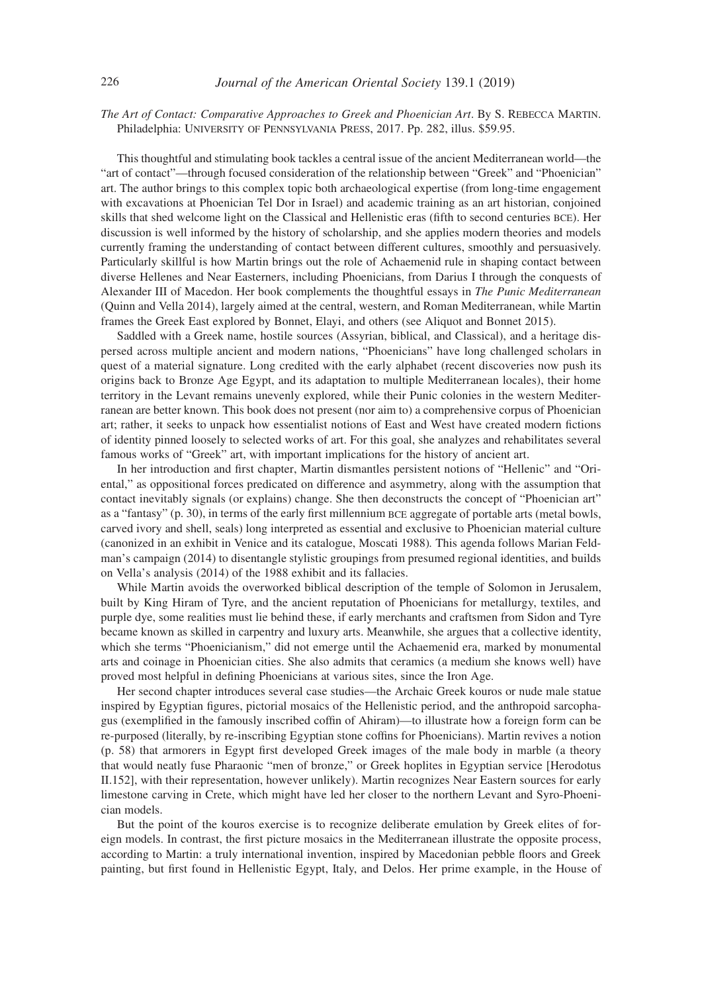*The Art of Contact: Comparative Approaches to Greek and Phoenician Art*. By S. Rebecca Martin. Philadelphia: University of Pennsylvania Press, 2017. Pp. 282, illus. \$59.95.

This thoughtful and stimulating book tackles a central issue of the ancient Mediterranean world—the "art of contact"—through focused consideration of the relationship between "Greek" and "Phoenician" art. The author brings to this complex topic both archaeological expertise (from long-time engagement with excavations at Phoenician Tel Dor in Israel) and academic training as an art historian, conjoined skills that shed welcome light on the Classical and Hellenistic eras (fifth to second centuries bce). Her discussion is well informed by the history of scholarship, and she applies modern theories and models currently framing the understanding of contact between different cultures, smoothly and persuasively. Particularly skillful is how Martin brings out the role of Achaemenid rule in shaping contact between diverse Hellenes and Near Easterners, including Phoenicians, from Darius I through the conquests of Alexander III of Macedon. Her book complements the thoughtful essays in *The Punic Mediterranean*  (Quinn and Vella 2014), largely aimed at the central, western, and Roman Mediterranean, while Martin frames the Greek East explored by Bonnet, Elayi, and others (see Aliquot and Bonnet 2015).

Saddled with a Greek name, hostile sources (Assyrian, biblical, and Classical), and a heritage dispersed across multiple ancient and modern nations, "Phoenicians" have long challenged scholars in quest of a material signature. Long credited with the early alphabet (recent discoveries now push its origins back to Bronze Age Egypt, and its adaptation to multiple Mediterranean locales), their home territory in the Levant remains unevenly explored, while their Punic colonies in the western Mediterranean are better known. This book does not present (nor aim to) a comprehensive corpus of Phoenician art; rather, it seeks to unpack how essentialist notions of East and West have created modern fictions of identity pinned loosely to selected works of art. For this goal, she analyzes and rehabilitates several famous works of "Greek" art, with important implications for the history of ancient art.

In her introduction and first chapter, Martin dismantles persistent notions of "Hellenic" and "Oriental," as oppositional forces predicated on difference and asymmetry, along with the assumption that contact inevitably signals (or explains) change. She then deconstructs the concept of "Phoenician art" as a "fantasy" (p. 30), in terms of the early first millennium bce aggregate of portable arts (metal bowls, carved ivory and shell, seals) long interpreted as essential and exclusive to Phoenician material culture (canonized in an exhibit in Venice and its catalogue, Moscati 1988)*.* This agenda follows Marian Feldman's campaign (2014) to disentangle stylistic groupings from presumed regional identities, and builds on Vella's analysis (2014) of the 1988 exhibit and its fallacies.

While Martin avoids the overworked biblical description of the temple of Solomon in Jerusalem, built by King Hiram of Tyre, and the ancient reputation of Phoenicians for metallurgy, textiles, and purple dye, some realities must lie behind these, if early merchants and craftsmen from Sidon and Tyre became known as skilled in carpentry and luxury arts. Meanwhile, she argues that a collective identity, which she terms "Phoenicianism," did not emerge until the Achaemenid era, marked by monumental arts and coinage in Phoenician cities. She also admits that ceramics (a medium she knows well) have proved most helpful in defining Phoenicians at various sites, since the Iron Age.

Her second chapter introduces several case studies—the Archaic Greek kouros or nude male statue inspired by Egyptian figures, pictorial mosaics of the Hellenistic period, and the anthropoid sarcophagus (exemplified in the famously inscribed coffin of Ahiram)—to illustrate how a foreign form can be re-purposed (literally, by re-inscribing Egyptian stone coffins for Phoenicians). Martin revives a notion (p. 58) that armorers in Egypt first developed Greek images of the male body in marble (a theory that would neatly fuse Pharaonic "men of bronze," or Greek hoplites in Egyptian service [Herodotus II.152], with their representation, however unlikely). Martin recognizes Near Eastern sources for early limestone carving in Crete, which might have led her closer to the northern Levant and Syro-Phoenician models.

But the point of the kouros exercise is to recognize deliberate emulation by Greek elites of foreign models. In contrast, the first picture mosaics in the Mediterranean illustrate the opposite process, according to Martin: a truly international invention, inspired by Macedonian pebble floors and Greek painting, but first found in Hellenistic Egypt, Italy, and Delos. Her prime example, in the House of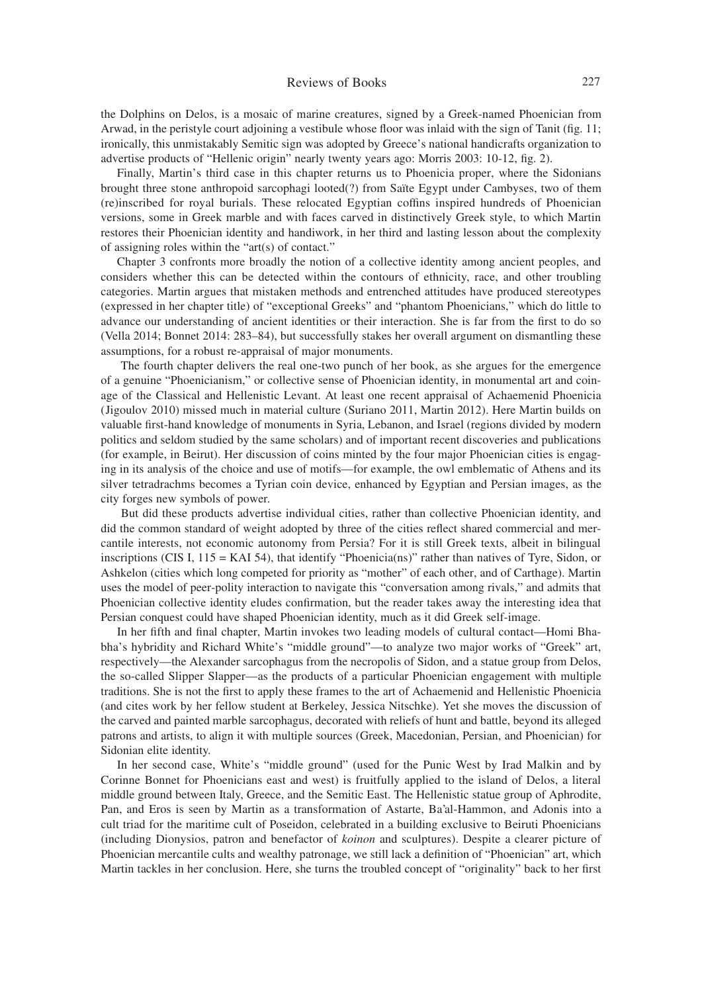## Reviews of Books 227

the Dolphins on Delos, is a mosaic of marine creatures, signed by a Greek-named Phoenician from Arwad, in the peristyle court adjoining a vestibule whose floor was inlaid with the sign of Tanit (fig. 11; ironically, this unmistakably Semitic sign was adopted by Greece's national handicrafts organization to advertise products of "Hellenic origin" nearly twenty years ago: Morris 2003: 10-12, fig. 2).

Finally, Martin's third case in this chapter returns us to Phoenicia proper, where the Sidonians brought three stone anthropoid sarcophagi looted(?) from Saïte Egypt under Cambyses, two of them (re)inscribed for royal burials. These relocated Egyptian coffins inspired hundreds of Phoenician versions, some in Greek marble and with faces carved in distinctively Greek style, to which Martin restores their Phoenician identity and handiwork, in her third and lasting lesson about the complexity of assigning roles within the "art(s) of contact."

Chapter 3 confronts more broadly the notion of a collective identity among ancient peoples, and considers whether this can be detected within the contours of ethnicity, race, and other troubling categories. Martin argues that mistaken methods and entrenched attitudes have produced stereotypes (expressed in her chapter title) of "exceptional Greeks" and "phantom Phoenicians," which do little to advance our understanding of ancient identities or their interaction. She is far from the first to do so (Vella 2014; Bonnet 2014: 283–84), but successfully stakes her overall argument on dismantling these assumptions, for a robust re-appraisal of major monuments.

 The fourth chapter delivers the real one-two punch of her book, as she argues for the emergence of a genuine "Phoenicianism," or collective sense of Phoenician identity, in monumental art and coinage of the Classical and Hellenistic Levant. At least one recent appraisal of Achaemenid Phoenicia (Jigoulov 2010) missed much in material culture (Suriano 2011, Martin 2012). Here Martin builds on valuable first-hand knowledge of monuments in Syria, Lebanon, and Israel (regions divided by modern politics and seldom studied by the same scholars) and of important recent discoveries and publications (for example, in Beirut). Her discussion of coins minted by the four major Phoenician cities is engaging in its analysis of the choice and use of motifs—for example, the owl emblematic of Athens and its silver tetradrachms becomes a Tyrian coin device, enhanced by Egyptian and Persian images, as the city forges new symbols of power.

 But did these products advertise individual cities, rather than collective Phoenician identity, and did the common standard of weight adopted by three of the cities reflect shared commercial and mercantile interests, not economic autonomy from Persia? For it is still Greek texts, albeit in bilingual inscriptions (CIS I, 115 = KAI 54), that identify "Phoenicia(ns)" rather than natives of Tyre, Sidon, or Ashkelon (cities which long competed for priority as "mother" of each other, and of Carthage). Martin uses the model of peer-polity interaction to navigate this "conversation among rivals," and admits that Phoenician collective identity eludes confirmation, but the reader takes away the interesting idea that Persian conquest could have shaped Phoenician identity, much as it did Greek self-image.

In her fifth and final chapter, Martin invokes two leading models of cultural contact—Homi Bhabha's hybridity and Richard White's "middle ground"—to analyze two major works of "Greek" art, respectively—the Alexander sarcophagus from the necropolis of Sidon, and a statue group from Delos, the so-called Slipper Slapper—as the products of a particular Phoenician engagement with multiple traditions. She is not the first to apply these frames to the art of Achaemenid and Hellenistic Phoenicia (and cites work by her fellow student at Berkeley, Jessica Nitschke). Yet she moves the discussion of the carved and painted marble sarcophagus, decorated with reliefs of hunt and battle, beyond its alleged patrons and artists, to align it with multiple sources (Greek, Macedonian, Persian, and Phoenician) for Sidonian elite identity.

In her second case, White's "middle ground" (used for the Punic West by Irad Malkin and by Corinne Bonnet for Phoenicians east and west) is fruitfully applied to the island of Delos, a literal middle ground between Italy, Greece, and the Semitic East. The Hellenistic statue group of Aphrodite, Pan, and Eros is seen by Martin as a transformation of Astarte, Ba'al-Hammon, and Adonis into a cult triad for the maritime cult of Poseidon, celebrated in a building exclusive to Beiruti Phoenicians (including Dionysios, patron and benefactor of *koinon* and sculptures). Despite a clearer picture of Phoenician mercantile cults and wealthy patronage, we still lack a definition of "Phoenician" art, which Martin tackles in her conclusion. Here, she turns the troubled concept of "originality" back to her first